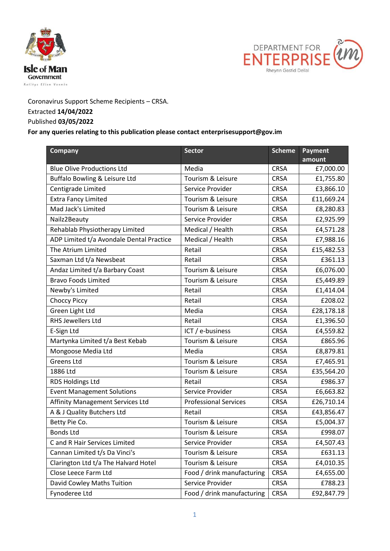



Coronavirus Support Scheme Recipients – CRSA. Extracted **14/04/2022**

## Published **03/05/2022**

## **For any queries relating to this publication please contact enterprisesupport@gov.im**

| <b>Company</b>                           | Sector                       | <b>Scheme</b> | <b>Payment</b> |
|------------------------------------------|------------------------------|---------------|----------------|
|                                          |                              |               | amount         |
| <b>Blue Olive Productions Ltd</b>        | Media                        | <b>CRSA</b>   | £7,000.00      |
| Buffalo Bowling & Leisure Ltd            | Tourism & Leisure            | <b>CRSA</b>   | £1,755.80      |
| Centigrade Limited                       | Service Provider             | <b>CRSA</b>   | £3,866.10      |
| <b>Extra Fancy Limited</b>               | Tourism & Leisure            | <b>CRSA</b>   | £11,669.24     |
| Mad Jack's Limited                       | Tourism & Leisure            | <b>CRSA</b>   | £8,280.83      |
| Nailz2Beauty                             | Service Provider             | <b>CRSA</b>   | £2,925.99      |
| Rehablab Physiotherapy Limited           | Medical / Health             | <b>CRSA</b>   | £4,571.28      |
| ADP Limited t/a Avondale Dental Practice | Medical / Health             | <b>CRSA</b>   | £7,988.16      |
| The Atrium Limited                       | Retail                       | <b>CRSA</b>   | £15,482.53     |
| Saxman Ltd t/a Newsbeat                  | Retail                       | <b>CRSA</b>   | £361.13        |
| Andaz Limited t/a Barbary Coast          | Tourism & Leisure            | <b>CRSA</b>   | £6,076.00      |
| <b>Bravo Foods Limited</b>               | Tourism & Leisure            | <b>CRSA</b>   | £5,449.89      |
| Newby's Limited                          | Retail                       | <b>CRSA</b>   | £1,414.04      |
| <b>Choccy Piccy</b>                      | Retail                       | <b>CRSA</b>   | £208.02        |
| Green Light Ltd                          | Media                        | <b>CRSA</b>   | £28,178.18     |
| <b>RHS Jewellers Ltd</b>                 | Retail                       | <b>CRSA</b>   | £1,396.50      |
| E-Sign Ltd                               | ICT / e-business             | <b>CRSA</b>   | £4,559.82      |
| Martynka Limited t/a Best Kebab          | Tourism & Leisure            | <b>CRSA</b>   | £865.96        |
| Mongoose Media Ltd                       | Media                        | <b>CRSA</b>   | £8,879.81      |
| <b>Greens Ltd</b>                        | Tourism & Leisure            | <b>CRSA</b>   | £7,465.91      |
| 1886 Ltd                                 | Tourism & Leisure            | <b>CRSA</b>   | £35,564.20     |
| RDS Holdings Ltd                         | Retail                       | <b>CRSA</b>   | £986.37        |
| <b>Event Management Solutions</b>        | Service Provider             | <b>CRSA</b>   | £6,663.82      |
| Affinity Management Services Ltd         | <b>Professional Services</b> | <b>CRSA</b>   | £26,710.14     |
| A & J Quality Butchers Ltd               | Retail                       | <b>CRSA</b>   | £43,856.47     |
| Betty Pie Co.                            | Tourism & Leisure            | <b>CRSA</b>   | £5,004.37      |
| <b>Bonds Ltd</b>                         | Tourism & Leisure            | <b>CRSA</b>   | £998.07        |
| C and R Hair Services Limited            | Service Provider             | <b>CRSA</b>   | £4,507.43      |
| Cannan Limited t/s Da Vinci's            | Tourism & Leisure            | <b>CRSA</b>   | £631.13        |
| Clarington Ltd t/a The Halvard Hotel     | Tourism & Leisure            | <b>CRSA</b>   | £4,010.35      |
| Close Leece Farm Ltd                     | Food / drink manufacturing   | <b>CRSA</b>   | £4,655.00      |
| David Cowley Maths Tuition               | Service Provider             | <b>CRSA</b>   | £788.23        |
| Fynoderee Ltd                            | Food / drink manufacturing   | <b>CRSA</b>   | £92,847.79     |